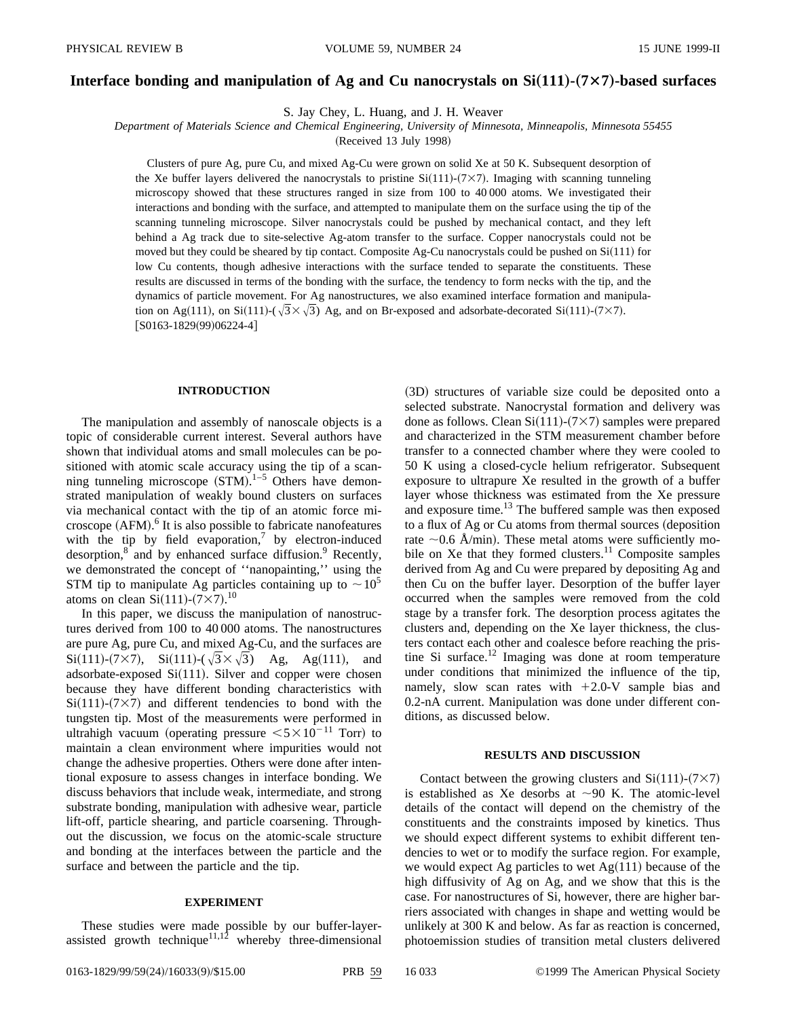# Interface bonding and manipulation of Ag and Cu nanocrystals on Si(111)–(7×7)-based surfaces

S. Jay Chey, L. Huang, and J. H. Weaver

*Department of Materials Science and Chemical Engineering, University of Minnesota, Minneapolis, Minnesota 55455*

 $(Received 13 July 1998)$ 

Clusters of pure Ag, pure Cu, and mixed Ag-Cu were grown on solid Xe at 50 K. Subsequent desorption of the Xe buffer layers delivered the nanocrystals to pristine  $Si(111)-(7\times7)$ . Imaging with scanning tunneling microscopy showed that these structures ranged in size from 100 to 40 000 atoms. We investigated their interactions and bonding with the surface, and attempted to manipulate them on the surface using the tip of the scanning tunneling microscope. Silver nanocrystals could be pushed by mechanical contact, and they left behind a Ag track due to site-selective Ag-atom transfer to the surface. Copper nanocrystals could not be moved but they could be sheared by tip contact. Composite Ag-Cu nanocrystals could be pushed on Si(111) for low Cu contents, though adhesive interactions with the surface tended to separate the constituents. These results are discussed in terms of the bonding with the surface, the tendency to form necks with the tip, and the dynamics of particle movement. For Ag nanostructures, we also examined interface formation and manipulation on Ag(111), on Si(111)-( $\sqrt{3}\times\sqrt{3}$ ) Ag, and on Br-exposed and adsorbate-decorated Si(111)-(7×7).  $[$ S0163-1829(99)06224-4 $]$ 

### **INTRODUCTION**

The manipulation and assembly of nanoscale objects is a topic of considerable current interest. Several authors have shown that individual atoms and small molecules can be positioned with atomic scale accuracy using the tip of a scanning tunneling microscope  $(STM)$ .<sup>1-5</sup> Others have demonstrated manipulation of weakly bound clusters on surfaces via mechanical contact with the tip of an atomic force microscope  $(AFM)$ .<sup>6</sup> It is also possible to fabricate nanofeatures with the tip by field evaporation, $\frac{7}{7}$  by electron-induced desorption,<sup>8</sup> and by enhanced surface diffusion.<sup>9</sup> Recently, we demonstrated the concept of ''nanopainting,'' using the STM tip to manipulate Ag particles containing up to  $\sim 10^5$ atoms on clean  $Si(111)-(7\times7).^{10}$ 

In this paper, we discuss the manipulation of nanostructures derived from 100 to 40 000 atoms. The nanostructures are pure Ag, pure Cu, and mixed Ag-Cu, and the surfaces are  $Si(111)-(7\times7)$ ,  $Si(111)-(\sqrt{3}\times\sqrt{3})$  Ag, Ag(111), and adsorbate-exposed  $Si(111)$ . Silver and copper were chosen because they have different bonding characteristics with  $Si(111)-(7\times7)$  and different tendencies to bond with the tungsten tip. Most of the measurements were performed in ultrahigh vacuum (operating pressure  $\leq 5 \times 10^{-11}$  Torr) to maintain a clean environment where impurities would not change the adhesive properties. Others were done after intentional exposure to assess changes in interface bonding. We discuss behaviors that include weak, intermediate, and strong substrate bonding, manipulation with adhesive wear, particle lift-off, particle shearing, and particle coarsening. Throughout the discussion, we focus on the atomic-scale structure and bonding at the interfaces between the particle and the surface and between the particle and the tip.

### **EXPERIMENT**

These studies were made possible by our buffer-layerassisted growth technique<sup>11,12</sup> whereby three-dimensional

(3D) structures of variable size could be deposited onto a selected substrate. Nanocrystal formation and delivery was done as follows. Clean Si $(111)-(7\times7)$  samples were prepared and characterized in the STM measurement chamber before transfer to a connected chamber where they were cooled to 50 K using a closed-cycle helium refrigerator. Subsequent exposure to ultrapure Xe resulted in the growth of a buffer layer whose thickness was estimated from the Xe pressure and exposure time. $^{13}$  The buffered sample was then exposed to a flux of Ag or Cu atoms from thermal sources (deposition rate  $\sim$  0.6 Å/min). These metal atoms were sufficiently mobile on Xe that they formed clusters.<sup>11</sup> Composite samples derived from Ag and Cu were prepared by depositing Ag and then Cu on the buffer layer. Desorption of the buffer layer occurred when the samples were removed from the cold stage by a transfer fork. The desorption process agitates the clusters and, depending on the Xe layer thickness, the clusters contact each other and coalesce before reaching the pristine Si surface. $12$  Imaging was done at room temperature under conditions that minimized the influence of the tip, namely, slow scan rates with  $+2.0-V$  sample bias and 0.2-nA current. Manipulation was done under different conditions, as discussed below.

### **RESULTS AND DISCUSSION**

Contact between the growing clusters and  $Si(111)-(7\times7)$ is established as Xe desorbs at  $\sim$ 90 K. The atomic-level details of the contact will depend on the chemistry of the constituents and the constraints imposed by kinetics. Thus we should expect different systems to exhibit different tendencies to wet or to modify the surface region. For example, we would expect Ag particles to wet  $Ag(111)$  because of the high diffusivity of Ag on Ag, and we show that this is the case. For nanostructures of Si, however, there are higher barriers associated with changes in shape and wetting would be unlikely at 300 K and below. As far as reaction is concerned, photoemission studies of transition metal clusters delivered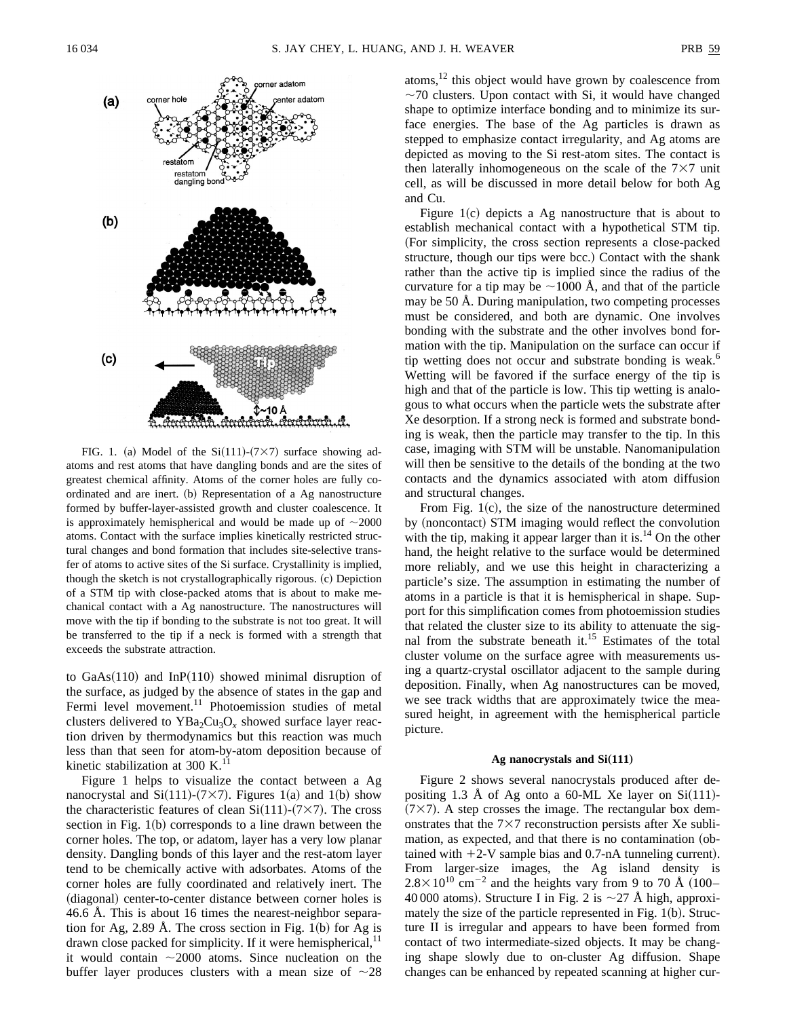

FIG. 1. (a) Model of the Si $(111)-(7\times7)$  surface showing adatoms and rest atoms that have dangling bonds and are the sites of greatest chemical affinity. Atoms of the corner holes are fully coordinated and are inert. (b) Representation of a Ag nanostructure formed by buffer-layer-assisted growth and cluster coalescence. It is approximately hemispherical and would be made up of  $\sim$ 2000 atoms. Contact with the surface implies kinetically restricted structural changes and bond formation that includes site-selective transfer of atoms to active sites of the Si surface. Crystallinity is implied, though the sketch is not crystallographically rigorous. (c) Depiction of a STM tip with close-packed atoms that is about to make mechanical contact with a Ag nanostructure. The nanostructures will move with the tip if bonding to the substrate is not too great. It will be transferred to the tip if a neck is formed with a strength that exceeds the substrate attraction.

to  $GaAs(110)$  and InP $(110)$  showed minimal disruption of the surface, as judged by the absence of states in the gap and Fermi level movement.<sup>11</sup> Photoemission studies of metal clusters delivered to  $YBa<sub>2</sub>Cu<sub>3</sub>O<sub>x</sub>$  showed surface layer reaction driven by thermodynamics but this reaction was much less than that seen for atom-by-atom deposition because of kinetic stabilization at 300 K. $^{11}$ 

Figure 1 helps to visualize the contact between a Ag nanocrystal and Si $(111)$ - $(7\times7)$ . Figures 1(a) and 1(b) show the characteristic features of clean  $Si(111)-(7\times7)$ . The cross section in Fig.  $1(b)$  corresponds to a line drawn between the corner holes. The top, or adatom, layer has a very low planar density. Dangling bonds of this layer and the rest-atom layer tend to be chemically active with adsorbates. Atoms of the corner holes are fully coordinated and relatively inert. The (diagonal) center-to-center distance between corner holes is 46.6 Å. This is about 16 times the nearest-neighbor separation for Ag, 2.89 Å. The cross section in Fig.  $1(b)$  for Ag is drawn close packed for simplicity. If it were hemispherical,  $11$ it would contain  $\sim$  2000 atoms. Since nucleation on the buffer layer produces clusters with a mean size of  $\sim 28$  atoms,12 this object would have grown by coalescence from  $\sim$ 70 clusters. Upon contact with Si, it would have changed shape to optimize interface bonding and to minimize its surface energies. The base of the Ag particles is drawn as stepped to emphasize contact irregularity, and Ag atoms are depicted as moving to the Si rest-atom sites. The contact is then laterally inhomogeneous on the scale of the  $7\times7$  unit cell, as will be discussed in more detail below for both Ag and Cu.

Figure  $1(c)$  depicts a Ag nanostructure that is about to establish mechanical contact with a hypothetical STM tip. ~For simplicity, the cross section represents a close-packed structure, though our tips were bcc.) Contact with the shank rather than the active tip is implied since the radius of the curvature for a tip may be  $\sim$ 1000 Å, and that of the particle may be 50 Å. During manipulation, two competing processes must be considered, and both are dynamic. One involves bonding with the substrate and the other involves bond formation with the tip. Manipulation on the surface can occur if tip wetting does not occur and substrate bonding is weak.<sup>6</sup> Wetting will be favored if the surface energy of the tip is high and that of the particle is low. This tip wetting is analogous to what occurs when the particle wets the substrate after Xe desorption. If a strong neck is formed and substrate bonding is weak, then the particle may transfer to the tip. In this case, imaging with STM will be unstable. Nanomanipulation will then be sensitive to the details of the bonding at the two contacts and the dynamics associated with atom diffusion and structural changes.

From Fig.  $1(c)$ , the size of the nanostructure determined by (noncontact) STM imaging would reflect the convolution with the tip, making it appear larger than it is.<sup>14</sup> On the other hand, the height relative to the surface would be determined more reliably, and we use this height in characterizing a particle's size. The assumption in estimating the number of atoms in a particle is that it is hemispherical in shape. Support for this simplification comes from photoemission studies that related the cluster size to its ability to attenuate the signal from the substrate beneath it.<sup>15</sup> Estimates of the total cluster volume on the surface agree with measurements using a quartz-crystal oscillator adjacent to the sample during deposition. Finally, when Ag nanostructures can be moved, we see track widths that are approximately twice the measured height, in agreement with the hemispherical particle picture.

### Ag nanocrystals and  $Si(111)$

Figure 2 shows several nanocrystals produced after depositing 1.3 Å of Ag onto a 60-ML Xe layer on  $Si(111)$ - $(7\times7)$ . A step crosses the image. The rectangular box demonstrates that the  $7\times7$  reconstruction persists after Xe sublimation, as expected, and that there is no contamination (obtained with  $+2-V$  sample bias and 0.7-nA tunneling current). From larger-size images, the Ag island density is  $2.8\times10^{10}$  cm<sup>-2</sup> and the heights vary from 9 to 70 Å (100– 40 000 atoms). Structure I in Fig. 2 is  $\sim$ 27 Å high, approximately the size of the particle represented in Fig.  $1(b)$ . Structure II is irregular and appears to have been formed from contact of two intermediate-sized objects. It may be changing shape slowly due to on-cluster Ag diffusion. Shape changes can be enhanced by repeated scanning at higher cur-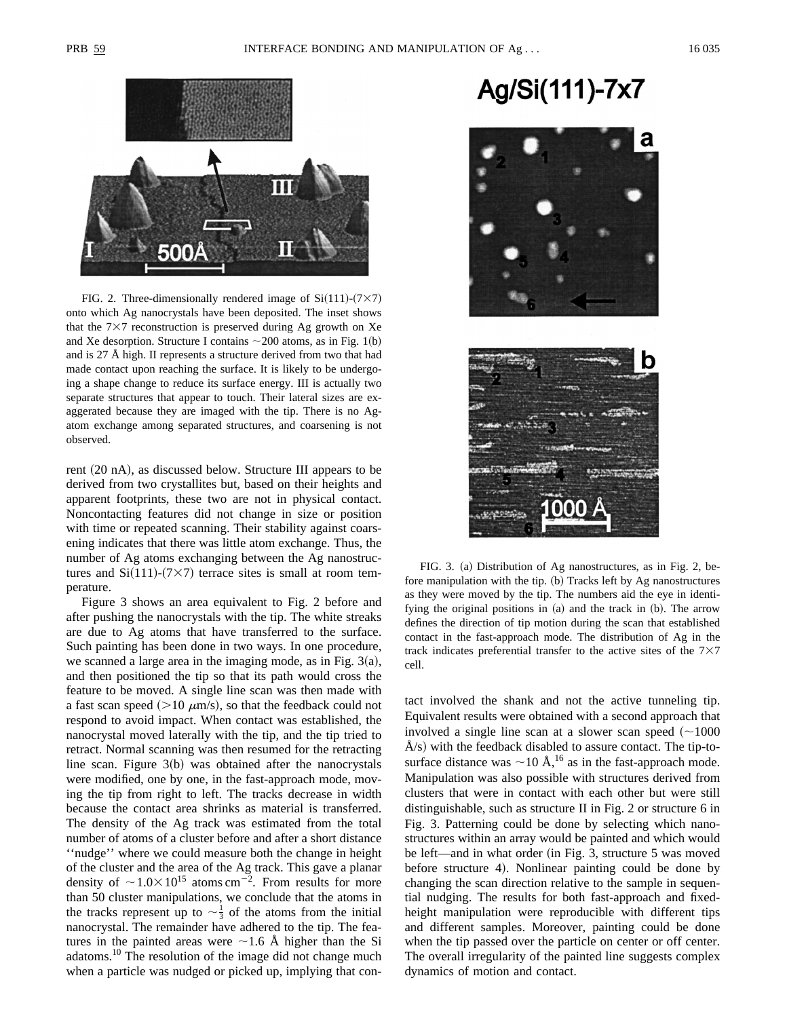

FIG. 2. Three-dimensionally rendered image of  $Si(111)-(7\times7)$ onto which Ag nanocrystals have been deposited. The inset shows that the  $7\times7$  reconstruction is preserved during Ag growth on Xe and Xe desorption. Structure I contains  $\sim$  200 atoms, as in Fig. 1(b) and is 27 Å high. II represents a structure derived from two that had made contact upon reaching the surface. It is likely to be undergoing a shape change to reduce its surface energy. III is actually two separate structures that appear to touch. Their lateral sizes are exaggerated because they are imaged with the tip. There is no Agatom exchange among separated structures, and coarsening is not observed.

rent  $(20 \text{ nA})$ , as discussed below. Structure III appears to be derived from two crystallites but, based on their heights and apparent footprints, these two are not in physical contact. Noncontacting features did not change in size or position with time or repeated scanning. Their stability against coarsening indicates that there was little atom exchange. Thus, the number of Ag atoms exchanging between the Ag nanostructures and  $Si(111)-(7\times7)$  terrace sites is small at room temperature.

Figure 3 shows an area equivalent to Fig. 2 before and after pushing the nanocrystals with the tip. The white streaks are due to Ag atoms that have transferred to the surface. Such painting has been done in two ways. In one procedure, we scanned a large area in the imaging mode, as in Fig.  $3(a)$ , and then positioned the tip so that its path would cross the feature to be moved. A single line scan was then made with a fast scan speed  $(>10 \mu m/s)$ , so that the feedback could not respond to avoid impact. When contact was established, the nanocrystal moved laterally with the tip, and the tip tried to retract. Normal scanning was then resumed for the retracting line scan. Figure  $3(b)$  was obtained after the nanocrystals were modified, one by one, in the fast-approach mode, moving the tip from right to left. The tracks decrease in width because the contact area shrinks as material is transferred. The density of the Ag track was estimated from the total number of atoms of a cluster before and after a short distance ''nudge'' where we could measure both the change in height of the cluster and the area of the Ag track. This gave a planar density of  $\sim$  1.0 $\times$  10<sup>15</sup> atoms cm<sup>-2</sup>. From results for more than 50 cluster manipulations, we conclude that the atoms in the tracks represent up to  $\sim \frac{1}{3}$  of the atoms from the initial nanocrystal. The remainder have adhered to the tip. The features in the painted areas were  $\sim$ 1.6 Å higher than the Si adatoms.10 The resolution of the image did not change much when a particle was nudged or picked up, implying that con-

# Ag/Si(111)-7x7





FIG. 3. (a) Distribution of Ag nanostructures, as in Fig. 2, before manipulation with the tip.  $(b)$  Tracks left by Ag nanostructures as they were moved by the tip. The numbers aid the eye in identifying the original positions in  $(a)$  and the track in  $(b)$ . The arrow defines the direction of tip motion during the scan that established contact in the fast-approach mode. The distribution of Ag in the track indicates preferential transfer to the active sites of the  $7\times7$ cell.

tact involved the shank and not the active tunneling tip. Equivalent results were obtained with a second approach that involved a single line scan at a slower scan speed  $(\sim 1000$  $\AA$ /s) with the feedback disabled to assure contact. The tip-tosurface distance was  $\sim$ 10 Å,<sup>16</sup> as in the fast-approach mode. Manipulation was also possible with structures derived from clusters that were in contact with each other but were still distinguishable, such as structure II in Fig. 2 or structure 6 in Fig. 3. Patterning could be done by selecting which nanostructures within an array would be painted and which would be left—and in what order (in Fig. 3, structure 5 was moved before structure 4). Nonlinear painting could be done by changing the scan direction relative to the sample in sequential nudging. The results for both fast-approach and fixedheight manipulation were reproducible with different tips and different samples. Moreover, painting could be done when the tip passed over the particle on center or off center. The overall irregularity of the painted line suggests complex dynamics of motion and contact.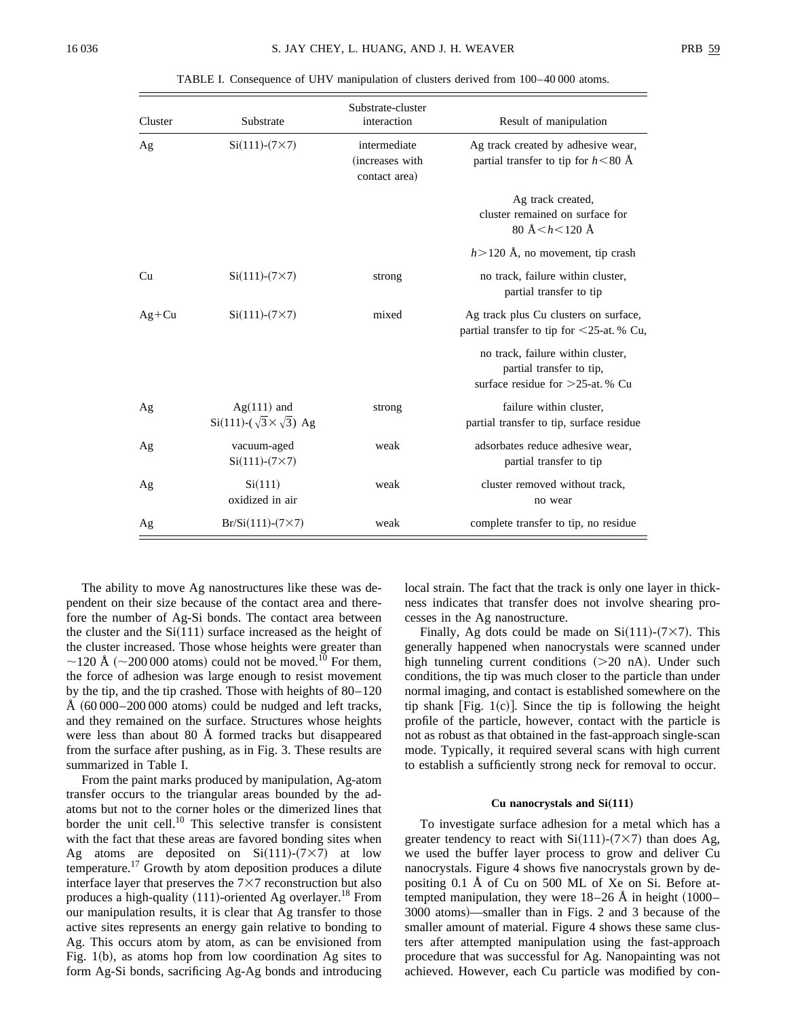| Cluster | Substrate                                                 | Substrate-cluster<br>interaction                 | Result of manipulation                                                                               |
|---------|-----------------------------------------------------------|--------------------------------------------------|------------------------------------------------------------------------------------------------------|
| Ag      | $Si(111)-(7\times7)$                                      | intermediate<br>(increases with<br>contact area) | Ag track created by adhesive wear,<br>partial transfer to tip for $h < 80$ Å                         |
|         |                                                           |                                                  | Ag track created,<br>cluster remained on surface for<br>80 Å $\leq h \leq 120$ Å                     |
|         |                                                           |                                                  | $h > 120$ Å, no movement, tip crash                                                                  |
| Cu      | $Si(111)-(7\times7)$                                      | strong                                           | no track, failure within cluster,<br>partial transfer to tip                                         |
| $Ag+Cu$ | $Si(111)-(7\times7)$                                      | mixed                                            | Ag track plus Cu clusters on surface,<br>partial transfer to tip for $\leq$ 25-at. % Cu,             |
|         |                                                           |                                                  | no track, failure within cluster,<br>partial transfer to tip,<br>surface residue for $>25$ -at. % Cu |
| Ag      | $Ag(111)$ and<br>Si(111)- $(\sqrt{3} \times \sqrt{3})$ Ag | strong                                           | failure within cluster,<br>partial transfer to tip, surface residue                                  |
| Ag      | vacuum-aged<br>$Si(111)-(7\times7)$                       | weak                                             | adsorbates reduce adhesive wear,<br>partial transfer to tip                                          |
| Ag      | Si(111)<br>oxidized in air                                | weak                                             | cluster removed without track,<br>no wear                                                            |
| Ag      | $Br/Si(111)-(7\times7)$                                   | weak                                             | complete transfer to tip, no residue                                                                 |

TABLE I. Consequence of UHV manipulation of clusters derived from 100–40 000 atoms.

The ability to move Ag nanostructures like these was dependent on their size because of the contact area and therefore the number of Ag-Si bonds. The contact area between the cluster and the  $Si(111)$  surface increased as the height of the cluster increased. Those whose heights were greater than  $\sim$ 120 Å ( $\sim$ 200 000 atoms) could not be moved.<sup>10</sup> For them, the force of adhesion was large enough to resist movement by the tip, and the tip crashed. Those with heights of 80–120  $\AA$  (60 000–200 000 atoms) could be nudged and left tracks, and they remained on the surface. Structures whose heights were less than about 80 Å formed tracks but disappeared from the surface after pushing, as in Fig. 3. These results are summarized in Table I.

From the paint marks produced by manipulation, Ag-atom transfer occurs to the triangular areas bounded by the adatoms but not to the corner holes or the dimerized lines that border the unit cell. $^{10}$  This selective transfer is consistent with the fact that these areas are favored bonding sites when Ag atoms are deposited on  $Si(111)-(7\times7)$  at low temperature.<sup>17</sup> Growth by atom deposition produces a dilute interface layer that preserves the  $7\times7$  reconstruction but also produces a high-quality  $(111)$ -oriented Ag overlayer.<sup>18</sup> From our manipulation results, it is clear that Ag transfer to those active sites represents an energy gain relative to bonding to Ag. This occurs atom by atom, as can be envisioned from Fig.  $1(b)$ , as atoms hop from low coordination Ag sites to form Ag-Si bonds, sacrificing Ag-Ag bonds and introducing local strain. The fact that the track is only one layer in thickness indicates that transfer does not involve shearing processes in the Ag nanostructure.

Finally, Ag dots could be made on  $Si(111)-(7\times7)$ . This generally happened when nanocrystals were scanned under high tunneling current conditions  $(>=20 \text{ nA})$ . Under such conditions, the tip was much closer to the particle than under normal imaging, and contact is established somewhere on the tip shank [Fig. 1(c)]. Since the tip is following the height profile of the particle, however, contact with the particle is not as robust as that obtained in the fast-approach single-scan mode. Typically, it required several scans with high current to establish a sufficiently strong neck for removal to occur.

### **Cu nanocrystals and Si(111)**

To investigate surface adhesion for a metal which has a greater tendency to react with  $Si(111)-(7\times7)$  than does Ag, we used the buffer layer process to grow and deliver Cu nanocrystals. Figure 4 shows five nanocrystals grown by depositing 0.1 Å of Cu on 500 ML of Xe on Si. Before attempted manipulation, they were  $18-26$  Å in height  $(1000-$ 3000 atoms)—smaller than in Figs. 2 and 3 because of the smaller amount of material. Figure 4 shows these same clusters after attempted manipulation using the fast-approach procedure that was successful for Ag. Nanopainting was not achieved. However, each Cu particle was modified by con-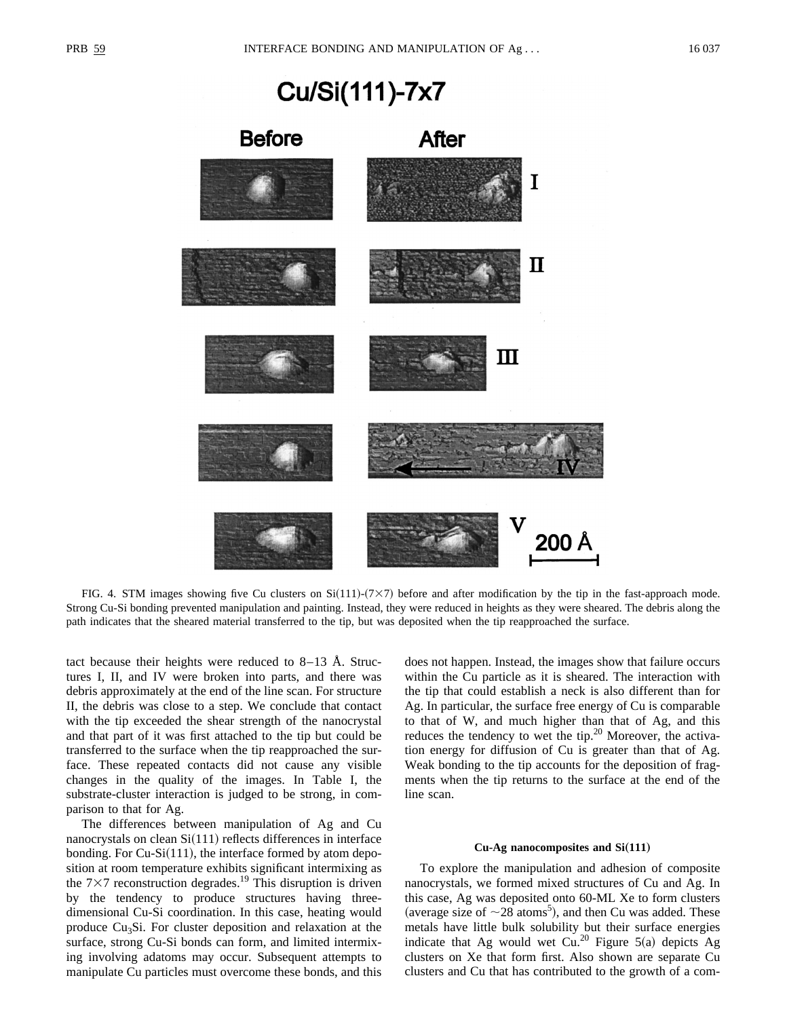# Cu/Si(111)-7x7



FIG. 4. STM images showing five Cu clusters on  $Si(111)-(7\times7)$  before and after modification by the tip in the fast-approach mode. Strong Cu-Si bonding prevented manipulation and painting. Instead, they were reduced in heights as they were sheared. The debris along the path indicates that the sheared material transferred to the tip, but was deposited when the tip reapproached the surface.

tact because their heights were reduced to  $8-13$  Å. Structures I, II, and IV were broken into parts, and there was debris approximately at the end of the line scan. For structure II, the debris was close to a step. We conclude that contact with the tip exceeded the shear strength of the nanocrystal and that part of it was first attached to the tip but could be transferred to the surface when the tip reapproached the surface. These repeated contacts did not cause any visible changes in the quality of the images. In Table I, the substrate-cluster interaction is judged to be strong, in comparison to that for Ag.

The differences between manipulation of Ag and Cu nanocrystals on clean  $Si(111)$  reflects differences in interface bonding. For Cu-Si $(111)$ , the interface formed by atom deposition at room temperature exhibits significant intermixing as the  $7\times7$  reconstruction degrades.<sup>19</sup> This disruption is driven by the tendency to produce structures having threedimensional Cu-Si coordination. In this case, heating would produce  $Cu<sub>3</sub>Si$ . For cluster deposition and relaxation at the surface, strong Cu-Si bonds can form, and limited intermixing involving adatoms may occur. Subsequent attempts to manipulate Cu particles must overcome these bonds, and this does not happen. Instead, the images show that failure occurs within the Cu particle as it is sheared. The interaction with the tip that could establish a neck is also different than for Ag. In particular, the surface free energy of Cu is comparable to that of W, and much higher than that of Ag, and this reduces the tendency to wet the tip.<sup>20</sup> Moreover, the activation energy for diffusion of Cu is greater than that of Ag. Weak bonding to the tip accounts for the deposition of fragments when the tip returns to the surface at the end of the line scan.

### **Cu-Ag nanocomposites and Si(111)**

To explore the manipulation and adhesion of composite nanocrystals, we formed mixed structures of Cu and Ag. In this case, Ag was deposited onto 60-ML Xe to form clusters (average size of  $\sim$  28 atoms<sup>5</sup>), and then Cu was added. These metals have little bulk solubility but their surface energies indicate that Ag would wet Cu.<sup>20</sup> Figure 5(a) depicts Ag clusters on Xe that form first. Also shown are separate Cu clusters and Cu that has contributed to the growth of a com-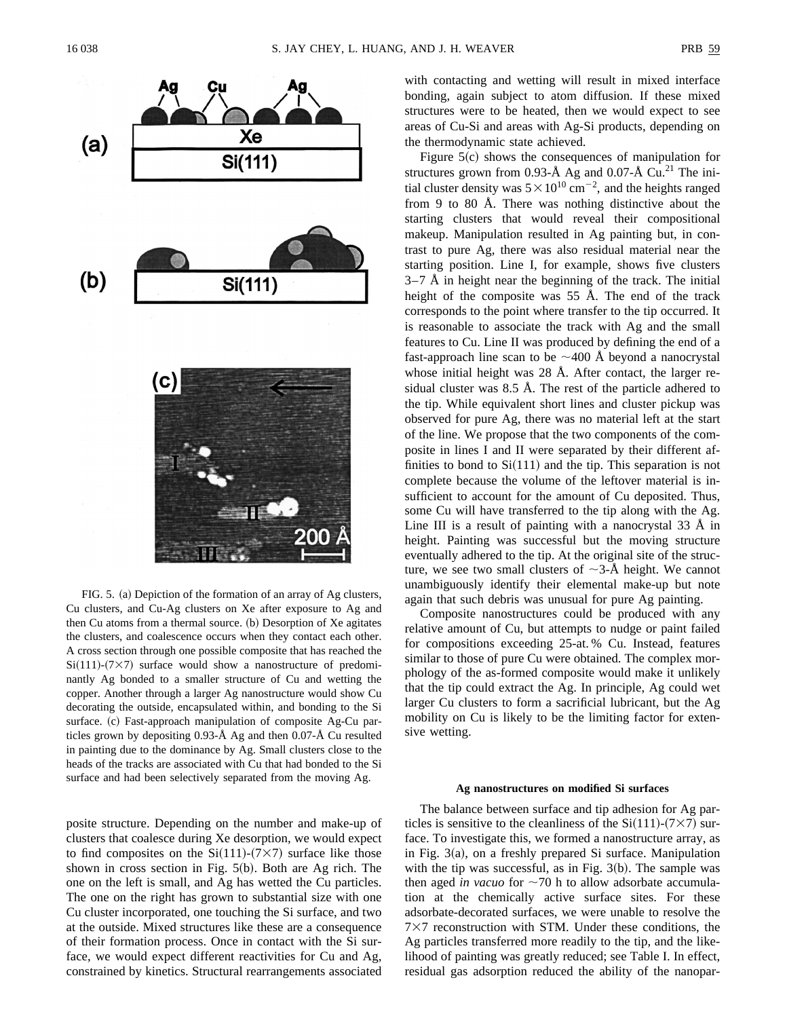



FIG. 5. (a) Depiction of the formation of an array of Ag clusters, Cu clusters, and Cu-Ag clusters on Xe after exposure to Ag and then Cu atoms from a thermal source.  $(b)$  Desorption of Xe agitates the clusters, and coalescence occurs when they contact each other. A cross section through one possible composite that has reached the  $Si(111)$ - $(7\times7)$  surface would show a nanostructure of predominantly Ag bonded to a smaller structure of Cu and wetting the copper. Another through a larger Ag nanostructure would show Cu decorating the outside, encapsulated within, and bonding to the Si surface. (c) Fast-approach manipulation of composite Ag-Cu particles grown by depositing 0.93-Å Ag and then 0.07-Å Cu resulted in painting due to the dominance by Ag. Small clusters close to the heads of the tracks are associated with Cu that had bonded to the Si surface and had been selectively separated from the moving Ag.

posite structure. Depending on the number and make-up of clusters that coalesce during Xe desorption, we would expect to find composites on the  $Si(111)-(7\times7)$  surface like those shown in cross section in Fig.  $5(b)$ . Both are Ag rich. The one on the left is small, and Ag has wetted the Cu particles. The one on the right has grown to substantial size with one Cu cluster incorporated, one touching the Si surface, and two at the outside. Mixed structures like these are a consequence of their formation process. Once in contact with the Si surface, we would expect different reactivities for Cu and Ag, constrained by kinetics. Structural rearrangements associated with contacting and wetting will result in mixed interface bonding, again subject to atom diffusion. If these mixed structures were to be heated, then we would expect to see areas of Cu-Si and areas with Ag-Si products, depending on the thermodynamic state achieved.

Figure  $5(c)$  shows the consequences of manipulation for structures grown from 0.93- $\AA$  Ag and 0.07- $\AA$  Cu.<sup>21</sup> The initial cluster density was  $5 \times 10^{10}$  cm<sup>-2</sup>, and the heights ranged from 9 to 80 Å. There was nothing distinctive about the starting clusters that would reveal their compositional makeup. Manipulation resulted in Ag painting but, in contrast to pure Ag, there was also residual material near the starting position. Line I, for example, shows five clusters  $3-7$  Å in height near the beginning of the track. The initial height of the composite was 55 Å. The end of the track corresponds to the point where transfer to the tip occurred. It is reasonable to associate the track with Ag and the small features to Cu. Line II was produced by defining the end of a fast-approach line scan to be  $\sim$ 400 Å beyond a nanocrystal whose initial height was 28 Å. After contact, the larger residual cluster was 8.5 Å. The rest of the particle adhered to the tip. While equivalent short lines and cluster pickup was observed for pure Ag, there was no material left at the start of the line. We propose that the two components of the composite in lines I and II were separated by their different affinities to bond to  $Si(111)$  and the tip. This separation is not complete because the volume of the leftover material is insufficient to account for the amount of Cu deposited. Thus, some Cu will have transferred to the tip along with the Ag. Line III is a result of painting with a nanocrystal 33 Å in height. Painting was successful but the moving structure eventually adhered to the tip. At the original site of the structure, we see two small clusters of  $\sim$ 3-Å height. We cannot unambiguously identify their elemental make-up but note again that such debris was unusual for pure Ag painting.

Composite nanostructures could be produced with any relative amount of Cu, but attempts to nudge or paint failed for compositions exceeding 25-at. % Cu. Instead, features similar to those of pure Cu were obtained. The complex morphology of the as-formed composite would make it unlikely that the tip could extract the Ag. In principle, Ag could wet larger Cu clusters to form a sacrificial lubricant, but the Ag mobility on Cu is likely to be the limiting factor for extensive wetting.

#### **Ag nanostructures on modified Si surfaces**

The balance between surface and tip adhesion for Ag particles is sensitive to the cleanliness of the  $Si(111)-(7\times7)$  surface. To investigate this, we formed a nanostructure array, as in Fig.  $3(a)$ , on a freshly prepared Si surface. Manipulation with the tip was successful, as in Fig.  $3(b)$ . The sample was then aged *in vacuo* for  $\sim$ 70 h to allow adsorbate accumulation at the chemically active surface sites. For these adsorbate-decorated surfaces, we were unable to resolve the  $7\times7$  reconstruction with STM. Under these conditions, the Ag particles transferred more readily to the tip, and the likelihood of painting was greatly reduced; see Table I. In effect, residual gas adsorption reduced the ability of the nanopar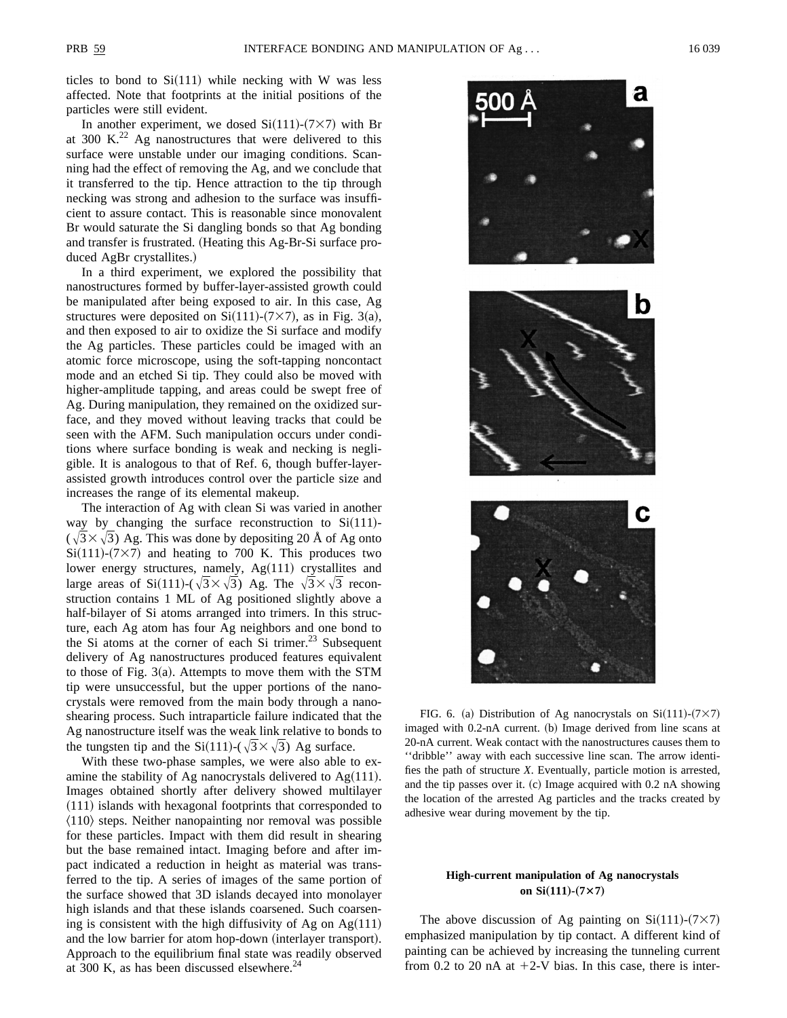ticles to bond to  $Si(111)$  while necking with W was less affected. Note that footprints at the initial positions of the particles were still evident.

In another experiment, we dosed  $Si(111)-(7\times7)$  with Br at 300 K. $^{22}$  Ag nanostructures that were delivered to this surface were unstable under our imaging conditions. Scanning had the effect of removing the Ag, and we conclude that it transferred to the tip. Hence attraction to the tip through necking was strong and adhesion to the surface was insufficient to assure contact. This is reasonable since monovalent Br would saturate the Si dangling bonds so that Ag bonding and transfer is frustrated. (Heating this Ag-Br-Si surface produced AgBr crystallites.)

In a third experiment, we explored the possibility that nanostructures formed by buffer-layer-assisted growth could be manipulated after being exposed to air. In this case, Ag structures were deposited on Si $(111)-(7\times7)$ , as in Fig. 3(a), and then exposed to air to oxidize the Si surface and modify the Ag particles. These particles could be imaged with an atomic force microscope, using the soft-tapping noncontact mode and an etched Si tip. They could also be moved with higher-amplitude tapping, and areas could be swept free of Ag. During manipulation, they remained on the oxidized surface, and they moved without leaving tracks that could be seen with the AFM. Such manipulation occurs under conditions where surface bonding is weak and necking is negligible. It is analogous to that of Ref. 6, though buffer-layerassisted growth introduces control over the particle size and increases the range of its elemental makeup.

The interaction of Ag with clean Si was varied in another way by changing the surface reconstruction to  $Si(111)$ - $(\sqrt{3} \times \sqrt{3})$  Ag. This was done by depositing 20 Å of Ag onto  $Si(111)-(7\times7)$  and heating to 700 K. This produces two lower energy structures, namely,  $Ag(111)$  crystallites and large areas of Si(111)-( $\sqrt{3} \times \sqrt{3}$ ) Ag. The  $\sqrt{3} \times \sqrt{3}$  reconstruction contains 1 ML of Ag positioned slightly above a half-bilayer of Si atoms arranged into trimers. In this structure, each Ag atom has four Ag neighbors and one bond to the Si atoms at the corner of each Si trimer.<sup>23</sup> Subsequent delivery of Ag nanostructures produced features equivalent to those of Fig.  $3(a)$ . Attempts to move them with the STM tip were unsuccessful, but the upper portions of the nanocrystals were removed from the main body through a nanoshearing process. Such intraparticle failure indicated that the Ag nanostructure itself was the weak link relative to bonds to the tungsten tip and the Si(111)-( $\sqrt{3} \times \sqrt{3}$ ) Ag surface.

With these two-phase samples, we were also able to examine the stability of Ag nanocrystals delivered to  $Ag(111)$ . Images obtained shortly after delivery showed multilayer  $(111)$  islands with hexagonal footprints that corresponded to  $\langle 110 \rangle$  steps. Neither nanopainting nor removal was possible for these particles. Impact with them did result in shearing but the base remained intact. Imaging before and after impact indicated a reduction in height as material was transferred to the tip. A series of images of the same portion of the surface showed that 3D islands decayed into monolayer high islands and that these islands coarsened. Such coarsening is consistent with the high diffusivity of Ag on  $Ag(111)$ and the low barrier for atom hop-down (interlayer transport). Approach to the equilibrium final state was readily observed at 300 K, as has been discussed elsewhere. $^{24}$ 



FIG. 6. (a) Distribution of Ag nanocrystals on Si $(111)-(7\times7)$ imaged with 0.2-nA current. (b) Image derived from line scans at 20-nA current. Weak contact with the nanostructures causes them to ''dribble'' away with each successive line scan. The arrow identifies the path of structure *X*. Eventually, particle motion is arrested, and the tip passes over it.  $(c)$  Image acquired with 0.2 nA showing the location of the arrested Ag particles and the tracks created by adhesive wear during movement by the tip.

## **High-current manipulation of Ag nanocrystals on**  $Si(111)-(7\times7)$

The above discussion of Ag painting on  $Si(111)-(7\times7)$ emphasized manipulation by tip contact. A different kind of painting can be achieved by increasing the tunneling current from 0.2 to 20 nA at  $+2$ -V bias. In this case, there is inter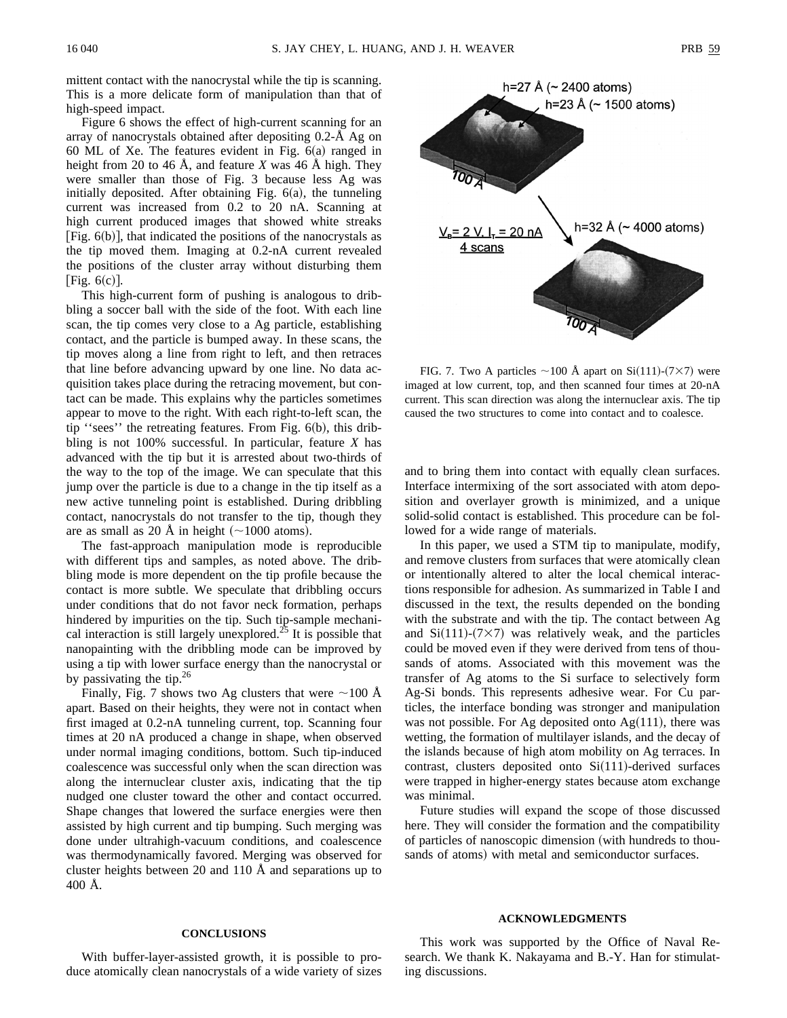mittent contact with the nanocrystal while the tip is scanning. This is a more delicate form of manipulation than that of high-speed impact.

Figure 6 shows the effect of high-current scanning for an array of nanocrystals obtained after depositing 0.2-Å Ag on 60 ML of Xe. The features evident in Fig.  $6(a)$  ranged in height from 20 to 46 Å, and feature *X* was 46 Å high. They were smaller than those of Fig. 3 because less Ag was initially deposited. After obtaining Fig.  $6(a)$ , the tunneling current was increased from 0.2 to 20 nA. Scanning at high current produced images that showed white streaks  $[Fig. 6(b)],$  that indicated the positions of the nanocrystals as the tip moved them. Imaging at 0.2-nA current revealed the positions of the cluster array without disturbing them [Fig.  $6(c)$ ].

This high-current form of pushing is analogous to dribbling a soccer ball with the side of the foot. With each line scan, the tip comes very close to a Ag particle, establishing contact, and the particle is bumped away. In these scans, the tip moves along a line from right to left, and then retraces that line before advancing upward by one line. No data acquisition takes place during the retracing movement, but contact can be made. This explains why the particles sometimes appear to move to the right. With each right-to-left scan, the tip "sees" the retreating features. From Fig.  $6(b)$ , this dribbling is not 100% successful. In particular, feature *X* has advanced with the tip but it is arrested about two-thirds of the way to the top of the image. We can speculate that this jump over the particle is due to a change in the tip itself as a new active tunneling point is established. During dribbling contact, nanocrystals do not transfer to the tip, though they are as small as 20 Å in height  $(\sim 1000$  atoms).

The fast-approach manipulation mode is reproducible with different tips and samples, as noted above. The dribbling mode is more dependent on the tip profile because the contact is more subtle. We speculate that dribbling occurs under conditions that do not favor neck formation, perhaps hindered by impurities on the tip. Such tip-sample mechanical interaction is still largely unexplored.<sup>25</sup> It is possible that nanopainting with the dribbling mode can be improved by using a tip with lower surface energy than the nanocrystal or by passivating the tip. $^{26}$ 

Finally, Fig. 7 shows two Ag clusters that were  $\sim$ 100 Å apart. Based on their heights, they were not in contact when first imaged at 0.2-nA tunneling current, top. Scanning four times at 20 nA produced a change in shape, when observed under normal imaging conditions, bottom. Such tip-induced coalescence was successful only when the scan direction was along the internuclear cluster axis, indicating that the tip nudged one cluster toward the other and contact occurred. Shape changes that lowered the surface energies were then assisted by high current and tip bumping. Such merging was done under ultrahigh-vacuum conditions, and coalescence was thermodynamically favored. Merging was observed for cluster heights between 20 and 110 Å and separations up to 400 Å.



FIG. 7. Two A particles  $\sim$ 100 Å apart on Si(111)-(7×7) were imaged at low current, top, and then scanned four times at 20-nA current. This scan direction was along the internuclear axis. The tip caused the two structures to come into contact and to coalesce.

and to bring them into contact with equally clean surfaces. Interface intermixing of the sort associated with atom deposition and overlayer growth is minimized, and a unique solid-solid contact is established. This procedure can be followed for a wide range of materials.

In this paper, we used a STM tip to manipulate, modify, and remove clusters from surfaces that were atomically clean or intentionally altered to alter the local chemical interactions responsible for adhesion. As summarized in Table I and discussed in the text, the results depended on the bonding with the substrate and with the tip. The contact between Ag and  $Si(111)-(7\times7)$  was relatively weak, and the particles could be moved even if they were derived from tens of thousands of atoms. Associated with this movement was the transfer of Ag atoms to the Si surface to selectively form Ag-Si bonds. This represents adhesive wear. For Cu particles, the interface bonding was stronger and manipulation was not possible. For Ag deposited onto  $Ag(111)$ , there was wetting, the formation of multilayer islands, and the decay of the islands because of high atom mobility on Ag terraces. In contrast, clusters deposited onto  $Si(111)$ -derived surfaces were trapped in higher-energy states because atom exchange was minimal.

Future studies will expand the scope of those discussed here. They will consider the formation and the compatibility of particles of nanoscopic dimension (with hundreds to thousands of atoms) with metal and semiconductor surfaces.

### **CONCLUSIONS**

With buffer-layer-assisted growth, it is possible to produce atomically clean nanocrystals of a wide variety of sizes

### **ACKNOWLEDGMENTS**

This work was supported by the Office of Naval Research. We thank K. Nakayama and B.-Y. Han for stimulating discussions.